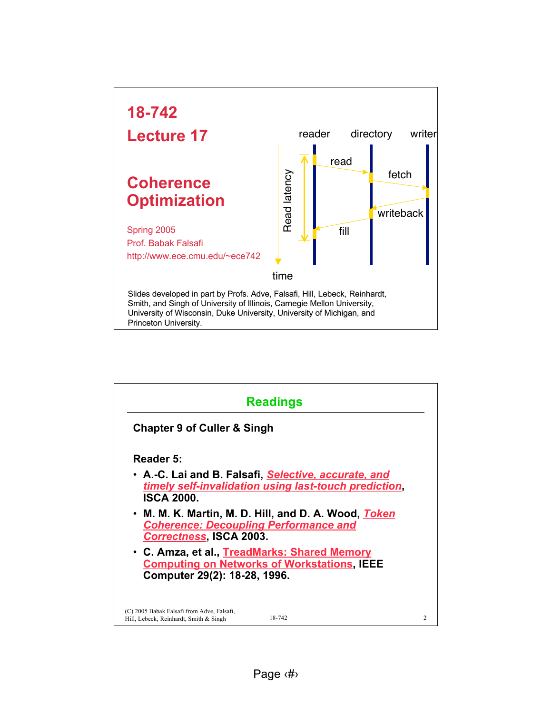

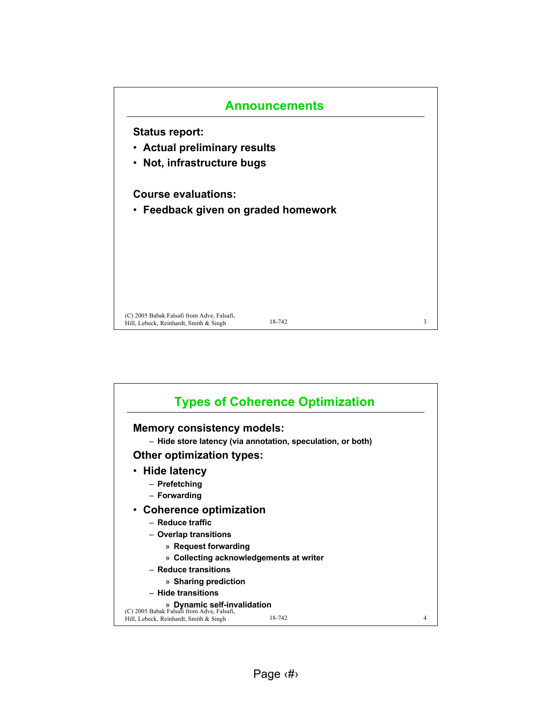

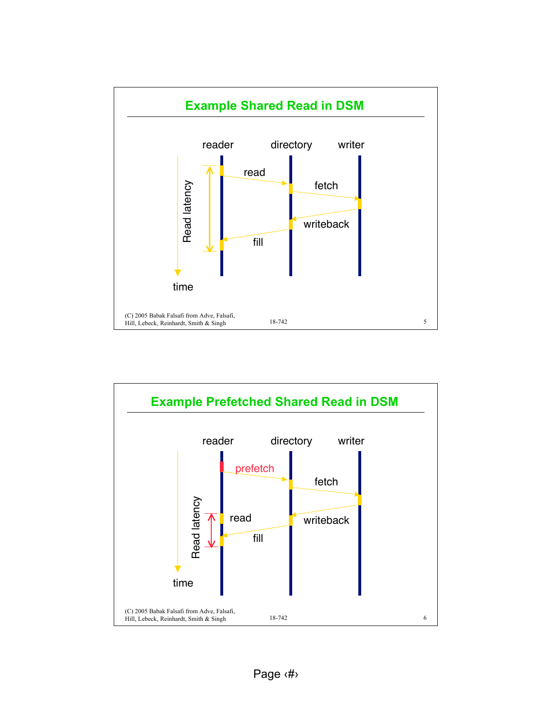

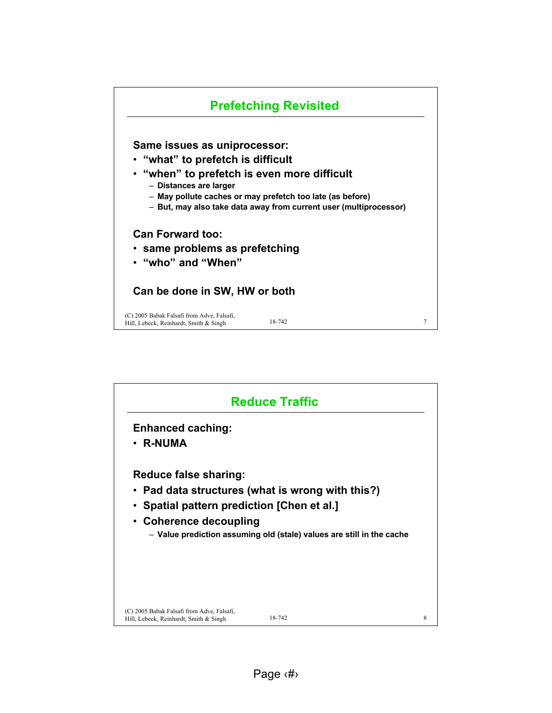

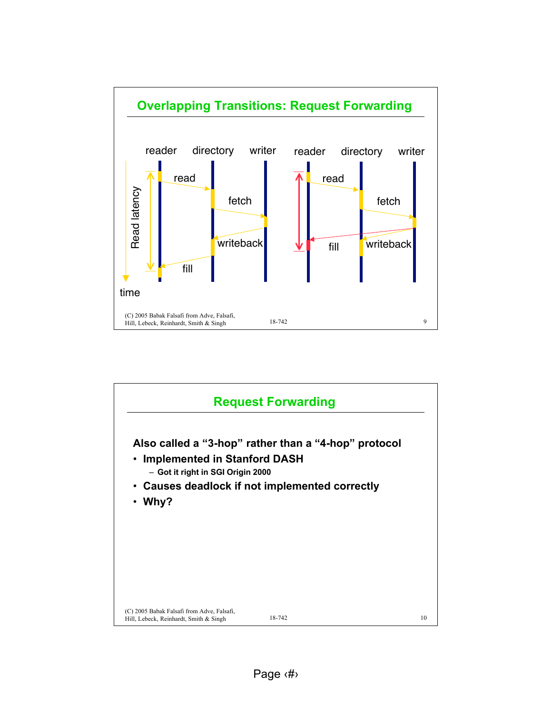

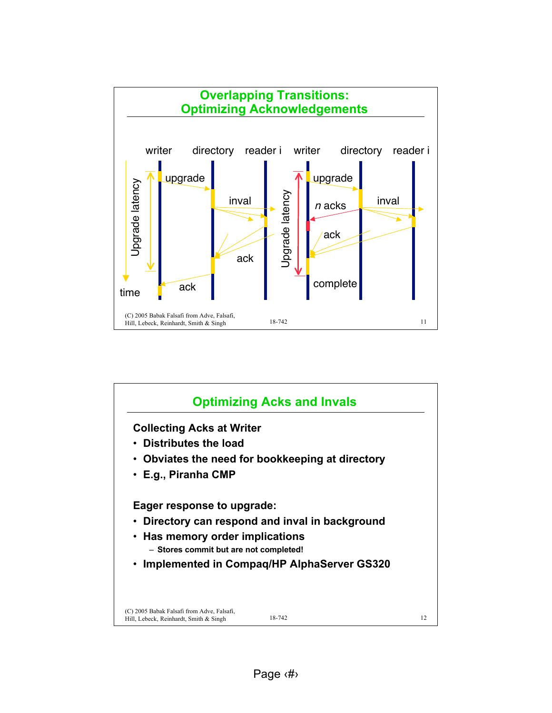

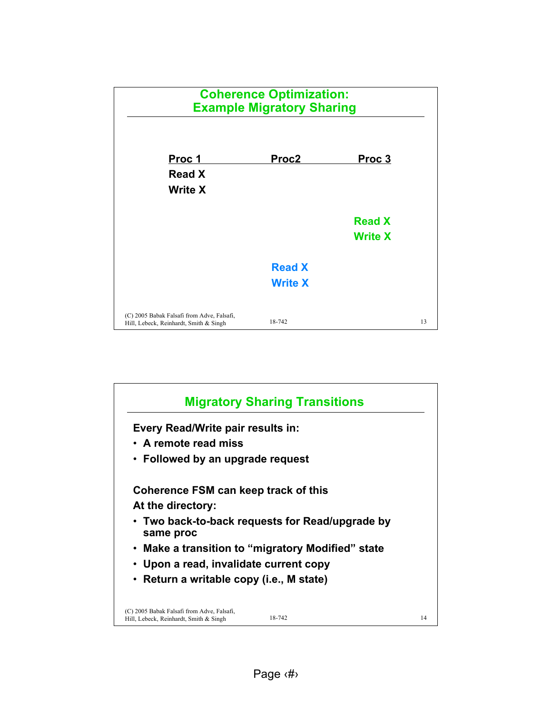

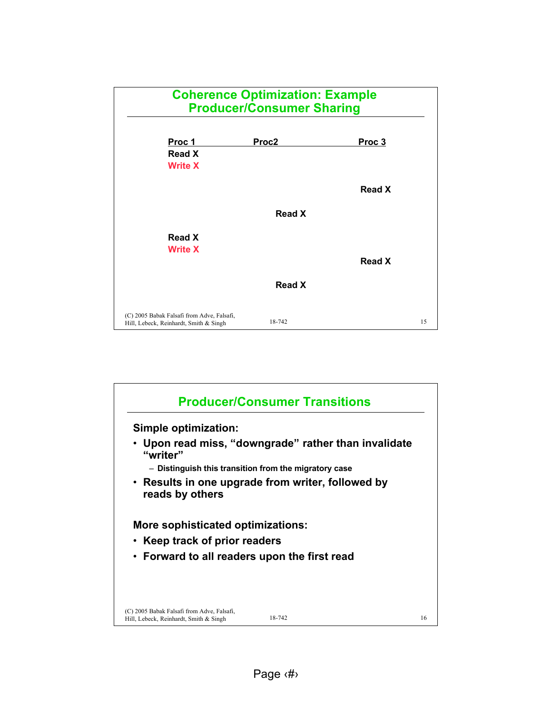

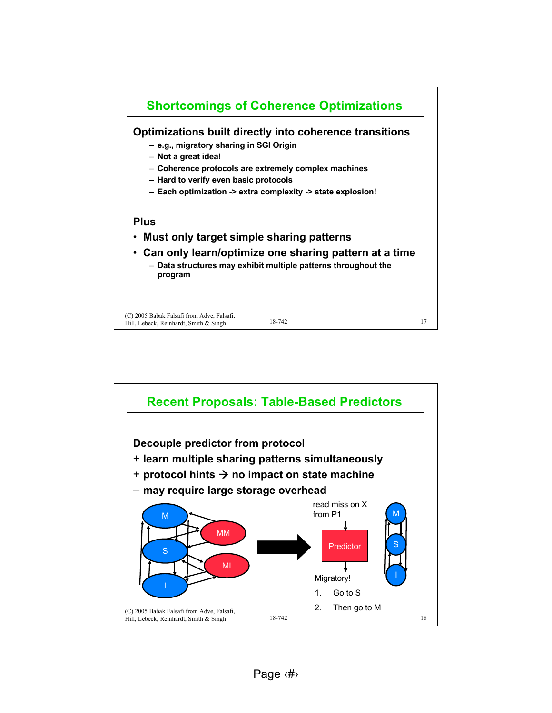

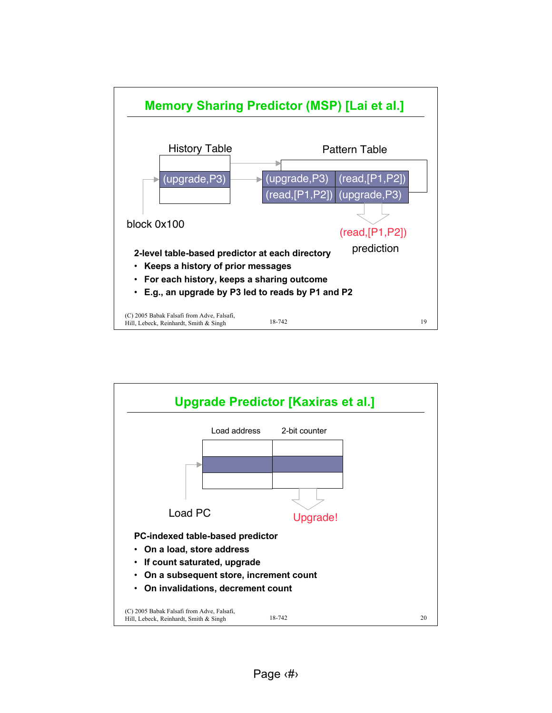

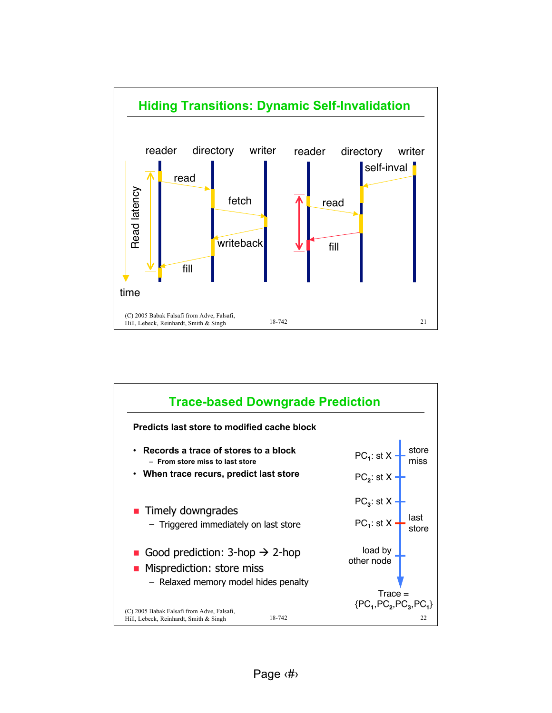

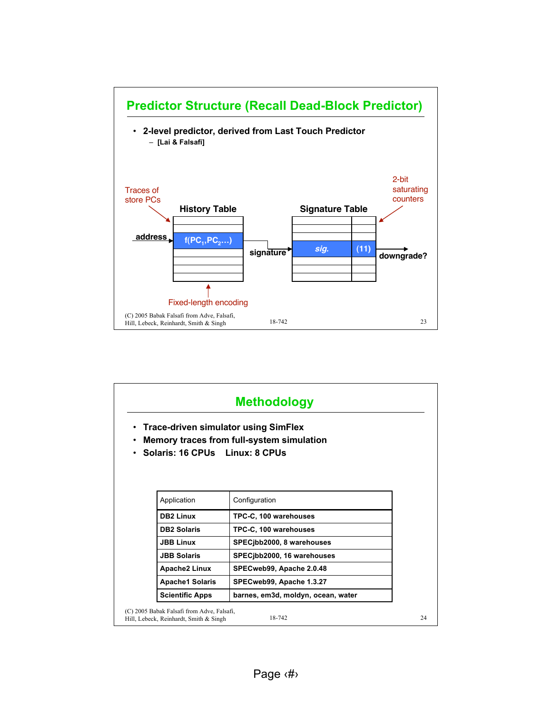

|                                                                                                                | <b>Trace-driven simulator using SimFlex</b><br>Memory traces from full-system simulation |
|----------------------------------------------------------------------------------------------------------------|------------------------------------------------------------------------------------------|
|                                                                                                                | Solaris: 16 CPUs Linux: 8 CPUs                                                           |
|                                                                                                                |                                                                                          |
| Application                                                                                                    | Configuration                                                                            |
| <b>DB2 Linux</b>                                                                                               | TPC-C, 100 warehouses                                                                    |
|                                                                                                                | TPC-C, 100 warehouses                                                                    |
|                                                                                                                |                                                                                          |
|                                                                                                                | SPECjbb2000, 8 warehouses                                                                |
|                                                                                                                | SPECjbb2000, 16 warehouses                                                               |
|                                                                                                                | SPECweb99, Apache 2.0.48                                                                 |
| <b>DB2 Solaris</b><br><b>JBB Linux</b><br><b>JBB Solaris</b><br><b>Apache2 Linux</b><br><b>Apache1 Solaris</b> | SPECweb99, Apache 1.3.27                                                                 |